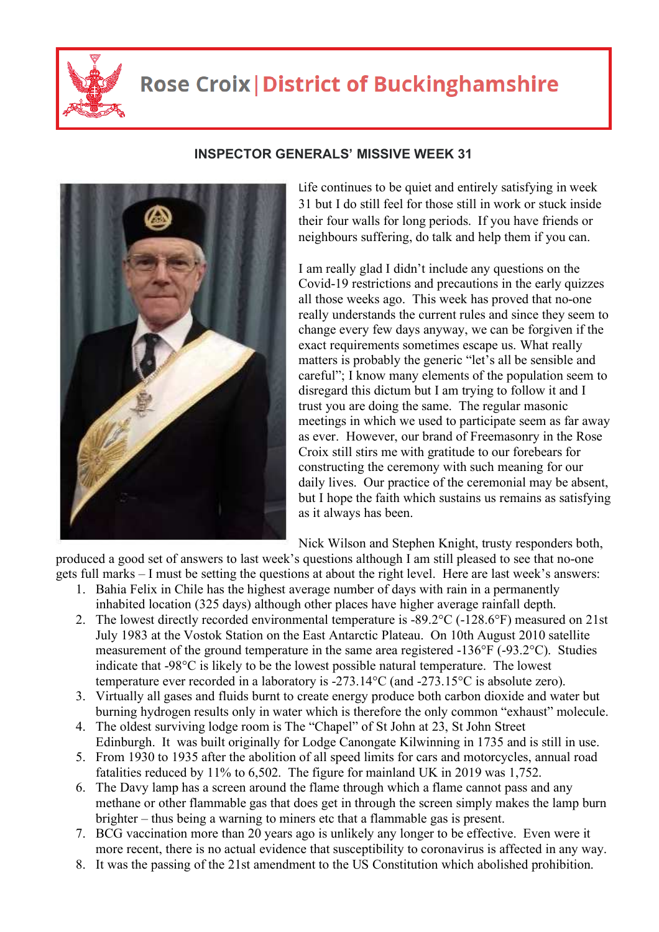

## **Rose Croix | District of Buckinghamshire**



## **INSPECTOR GENERALS' MISSIVE WEEK 31**

Life continues to be quiet and entirely satisfying in week 31 but I do still feel for those still in work or stuck inside their four walls for long periods. If you have friends or neighbours suffering, do talk and help them if you can.

I am really glad I didn't include any questions on the Covid-19 restrictions and precautions in the early quizzes all those weeks ago. This week has proved that no-one really understands the current rules and since they seem to change every few days anyway, we can be forgiven if the exact requirements sometimes escape us. What really matters is probably the generic "let's all be sensible and careful"; I know many elements of the population seem to disregard this dictum but I am trying to follow it and I trust you are doing the same. The regular masonic meetings in which we used to participate seem as far away as ever. However, our brand of Freemasonry in the Rose Croix still stirs me with gratitude to our forebears for constructing the ceremony with such meaning for our daily lives. Our practice of the ceremonial may be absent, but I hope the faith which sustains us remains as satisfying as it always has been.

Nick Wilson and Stephen Knight, trusty responders both,

produced a good set of answers to last week's questions although I am still pleased to see that no-one gets full marks – I must be setting the questions at about the right level. Here are last week's answers:

- 1. Bahia Felix in Chile has the highest average number of days with rain in a permanently inhabited location (325 days) although other places have higher average rainfall depth.
- 2. The lowest directly recorded environmental temperature is -89.2°C (-128.6°F) measured on 21st July 1983 at the Vostok Station on the East Antarctic Plateau. On 10th August 2010 satellite measurement of the ground temperature in the same area registered -136°F (-93.2°C). Studies indicate that -98°C is likely to be the lowest possible natural temperature. The lowest temperature ever recorded in a laboratory is -273.14°C (and -273.15°C is absolute zero).
- 3. Virtually all gases and fluids burnt to create energy produce both carbon dioxide and water but burning hydrogen results only in water which is therefore the only common "exhaust" molecule.
- 4. The oldest surviving lodge room is The "Chapel" of St John at 23, St John Street Edinburgh. It was built originally for Lodge Canongate Kilwinning in 1735 and is still in use.
- 5. From 1930 to 1935 after the abolition of all speed limits for cars and motorcycles, annual road fatalities reduced by 11% to 6,502. The figure for mainland UK in 2019 was 1,752.
- 6. The Davy lamp has a screen around the flame through which a flame cannot pass and any methane or other flammable gas that does get in through the screen simply makes the lamp burn brighter – thus being a warning to miners etc that a flammable gas is present.
- 7. BCG vaccination more than 20 years ago is unlikely any longer to be effective. Even were it more recent, there is no actual evidence that susceptibility to coronavirus is affected in any way.
- 8. It was the passing of the 21st amendment to the US Constitution which abolished prohibition.